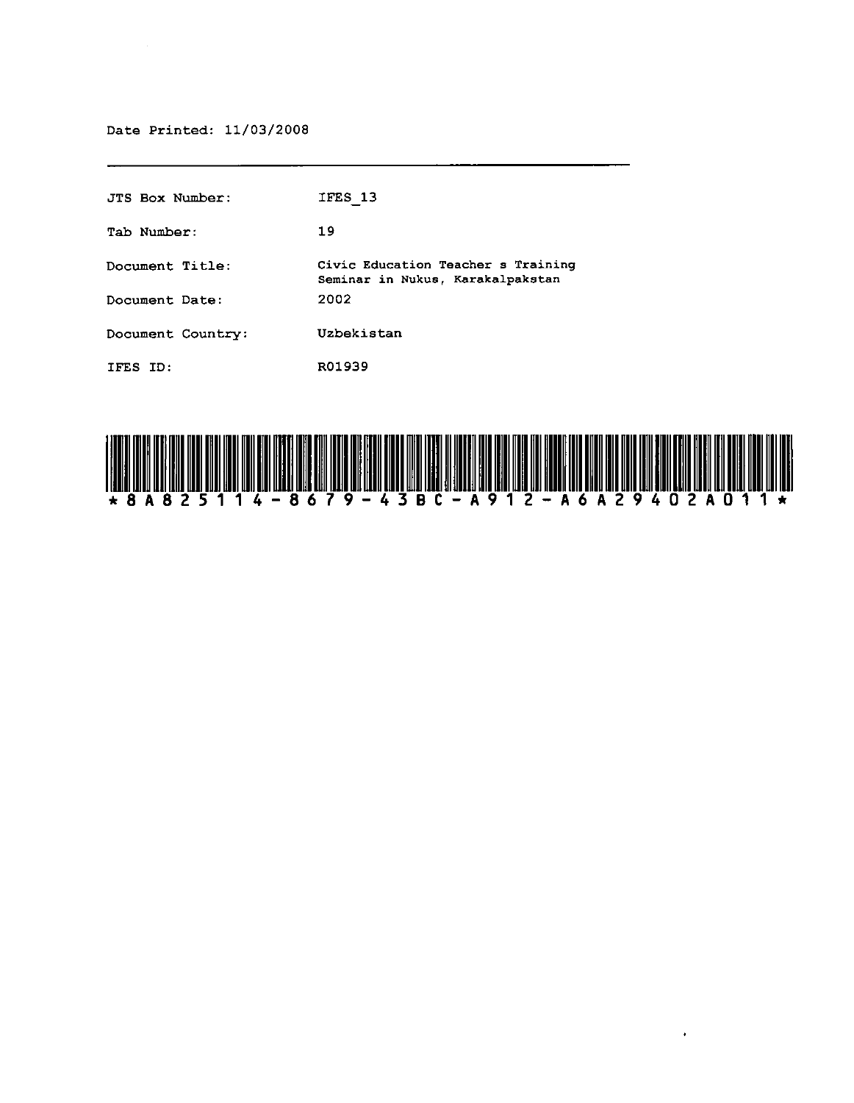Date Printed: 11/03/2008

| JTS Box Number:   | IFES 13                                                                |
|-------------------|------------------------------------------------------------------------|
| Tab Number:       | 19                                                                     |
| Document Title:   | Civic Education Teacher s Training<br>Seminar in Nukus, Karakalpakstan |
| Document Date:    | 2002                                                                   |
| Document Country: | Uzbekistan                                                             |
| IFES ID:          | R01939                                                                 |



 $\bullet$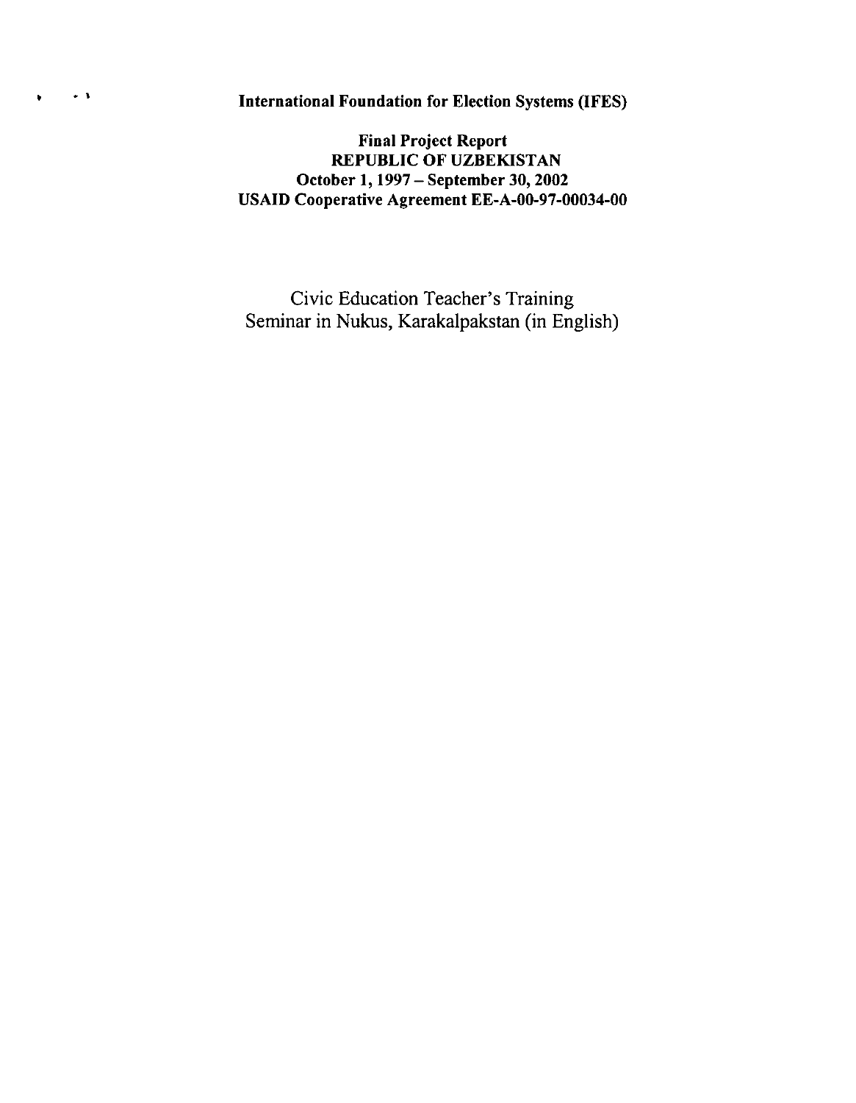-. International Foundation for Election Systems (IFES)

 $\bullet$ 

Final Project Report REPUBLIC OF UZBEKISTAN October 1, 1997 - September 30, 2002 USAID Cooperative Agreement EE-A-00-97-00034-00

Civic Education Teacher's Training Seminar in Nukus, Karakalpakstan (in English)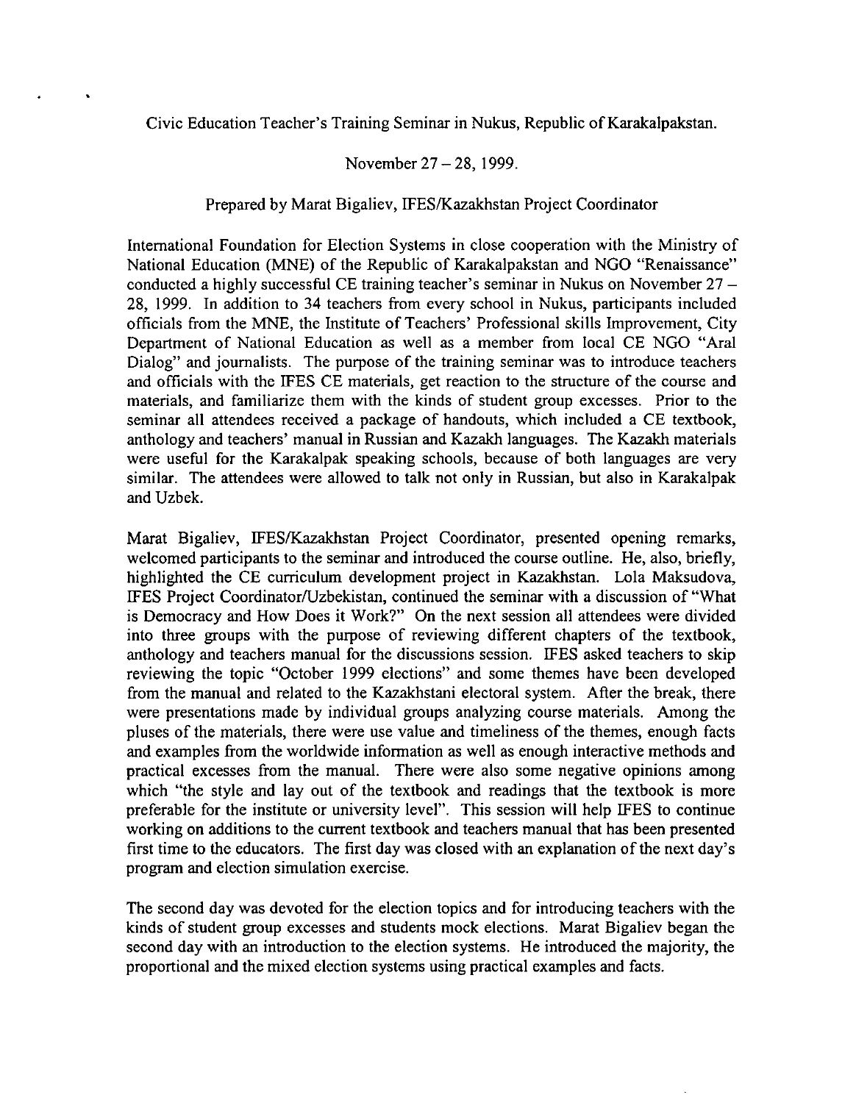Civic Education Teacher's Training Seminar in Nukus, Republic of Karakalpakstan.

## November 27 – 28, 1999.

## Prepared by Marat Bigaliev, IFES/Kazakhstan Project Coordinator

International Foundation for Election Systems in close cooperation with the Ministry of National Education (MNE) of the Republic of Karakalpakstan and NGO "Renaissance" conducted a highly successful CE training teacher's seminar in Nukus on November 27 - 28, 1999. In addition to 34 teachers from every school in Nukus, participants included officials from the MNE, the Institute of Teachers' Professional skills Improvement, City Department of National Education as well as a member from local CE NGO "Aral Dialog" and journalists. The purpose of the training seminar was to introduce teachers and officials with the IFES CE materials, get reaction to the structure of the course and materials, and familiarize them with the kinds of student group excesses. Prior to the seminar all attendees received a package of handouts, which included a CE textbook, anthology and teachers' manual in Russian and Kazakh languages. The Kazakh materials were useful for the Karakalpak speaking schools, because of both languages are very similar. The attendees were allowed to talk not only in Russian, but also in Karakalpak and Uzbek.

Marat Bigaliev, IFES/Kazakhstan Project Coordinator, presented opening remarks, welcomed participants to the seminar and introduced the course outline. He, also, briefly, highlighted the CE curriculum development project in Kazakhstan. Lola Maksudova, IFES Project Coordinator/Uzbekistan, continued the seminar with a discussion of "What is Democracy and How Does it Work?" On the next session all attendees were divided into three groups with the purpose of reviewing different chapters of the textbook, anthology and teachers manual for the discussions session. IFES asked teachers to skip reviewing the topic "October 1999 elections" and some themes have been developed from the manual and related to the Kazakhstani electoral system. After the break, there were presentations made by individual groups analyzing course materials. Among the pluses of the materials, there were use value and timeliness of the themes, enough facts and examples from the worldwide information as well as enough interactive methods and practical excesses from the manual. There were also some negative opinions among which "the style and lay out of the textbook and readings that the textbook is more preferable for the institute or university level". This session will help IFES to continue working on additions to the current textbook and teachers manual that has been presented first time to the educators. The first day was closed with an explanation of the next day's program and election simulation exercise.

The second day was devoted for the election topics and for introducing teachers with the kinds of student group excesses and students mock elections. Marat Bigaliev began the second day with an introduction to the election systems. He introduced the majority, the proportional and the mixed election systems using practical examples and facts.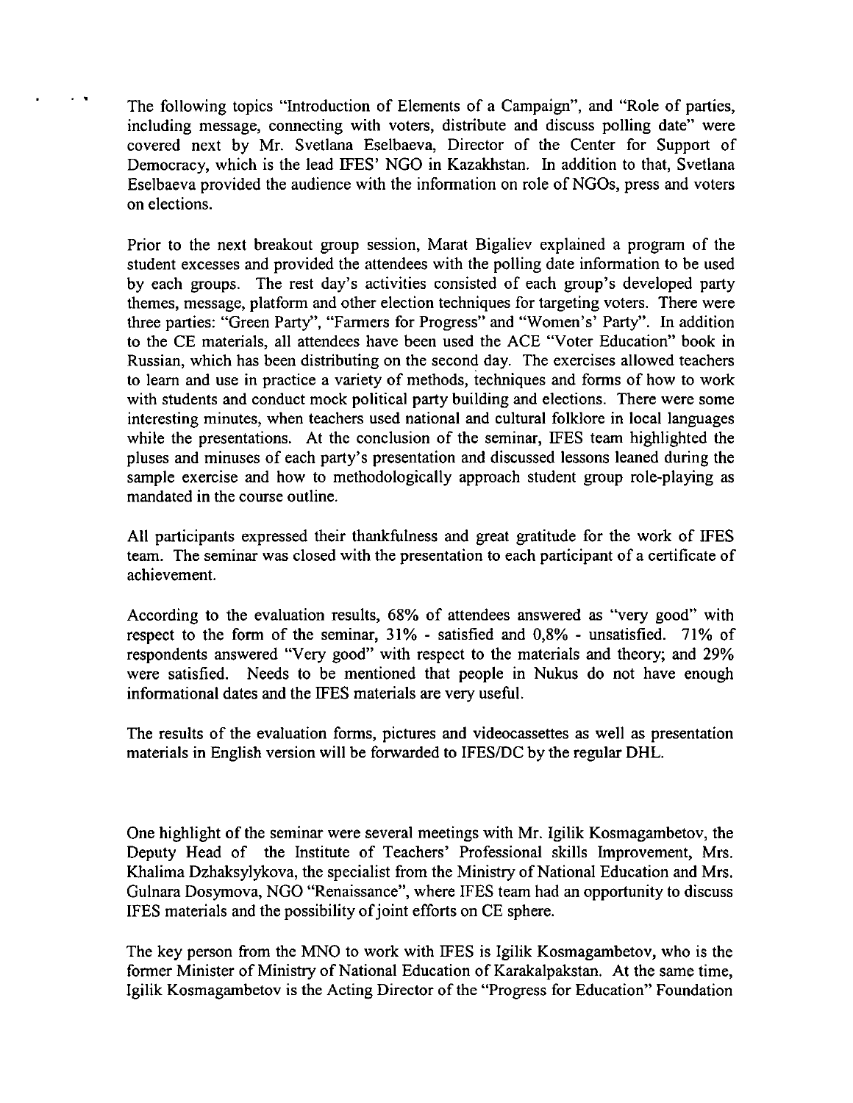The following topics "Introduction of Elements of a Campaign", and "Role of parties, including message, connecting with voters, distribute and discuss polling date" were covered next by Mr. Svetlana Eselbaeva, Director of the Center for Support of Democracy, which is the lead IFES' NGO in Kazakhstan. In addition to that, Svetlana Eselbaeva provided the audience with the information on role of NGOs, press and voters on elections.

Prior to the next breakout group session, Marat Bigaliev explained a program of the student excesses and provided the attendees with the polling date information to be used by each groups. The rest day's activities consisted of each group's developed party themes, message, platform and other election techniques for targeting voters. There were three parties: "Green Party", "Farmers for Progress" and "Women's' Party". In addition to the CE materials, all attendees have been used the ACE "Voter Education" book in Russian, which has been distributing on the second day. The exercises allowed teachers to learn and use in practice a variety of methods, iechniques and forms of how to work with students and conduct mock political party building and elections. There were some interesting minutes, when teachers used national and cultural folklore in local languages while the presentations. At the conclusion of the seminar, IFES team highlighted the pluses and minuses of each party's presentation and discussed lessons leaned during the sample exercise and how to methodologically approach student group role-playing as mandated in the course outline.

All participants expressed their thankfulness and great gratitude for the work of IFES team. The seminar was closed with the presentation to each participant of a certificate of achievement.

According to the evaluation results, 68% of attendees answered as "very good" with respect to the form of the seminar, 31% - satisfied and 0,8% - unsatisfied. 71% of respondents answered "Very good" with respect to the materials and theory; and 29% were satisfied. Needs to be mentioned that people in Nukus do not have enough informational dates and the IFES materials are very useful.

The results of the evaluation forms, pictures and videocassettes as well as presentation materials in English version will be forwarded to IFESfDC by the regular DHL.

One highlight of the seminar were several meetings with Mr. Igilik Kosmagambetov, the Deputy Head of the Institute of Teachers' Professional skills Improvement, Mrs. Khalima Dzhaksylykova, the specialist from the Ministry of National Education and Mrs. Gulnara Dosymova, NGO "Renaissance", where IFES team had an opportunity to discuss IFES materials and the possibility of joint efforts on CE sphere.

The key person from the MNO to work with IFES is Igilik Kosmagambetov, who is the former Minister of Ministry of National Education of Karakalpakstan. At the same time, Igilik Kosmagambetov is the Acting Director of the "Progress for Education" Foundation